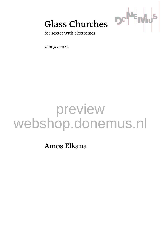

### **Glass Churches**

for sextet with electronics

2018 (rev. 2020)

## preview webshop.donemus.nl

### **Amos Elkana**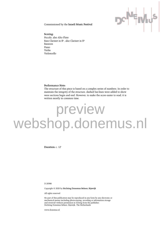

#### Commissioned by the **Israeli Music Festival**

**Scoring:** Piccolo, also Alto Flute Bass Clarinet in  $B^{\flat}$  , also Clarinet in  $B^{\flat}$ Bassoon Piano Violin Violoncello

#### **Performance Note:**

The structure of this piece is based on a complex series of numbers. In order to maintain the integrity of the structure, dashed bar-lines were added to show were sections begin and end. However, to make the score easier to read, it is written mostly in common time.

# preview webshop.donemus.nl

**Duration:** c. 12'

D 20396

Copyright © 2020 by **Stichting Donemus Beheer, Rijswijk**

All rights reserved

No part of this publication may be reproduced in any form by any electronic or mechanical means (including photocopying, recording or information storage and retrieval) without permission in writing from the publisher: Stichting Donemus Beheer, Rijswijk, The Netherlands

www.donemus.nl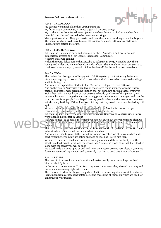#### **Pre-recorded text in electronic part**



#### **Part 1 – CHILDHOOD**

My parents were much older than usual parents are

My father was a Communist, a Zionist, a Jew. All the good things…

My mother came from Szeged from a Jewish merchant family and had an unbelievably beautiful contralto and wanted to become an opera singer

Was a great love affair. They got married and then they started working on me for 14 years The house in which lived was a typical, old fashioned, almost 19th century style salon. Music, culture, artists, literature…

#### **Part 2 – BEFORE THE WAR**

But then the Hungarians came and occupied northern Yugoslavia and my father was immediately arrested as a Jew, Zionist, Freemason, Communist.

He knew what was coming

He led the sports delegation to the Maccabia to Palestine in 1935, wanted to stay there having read Hitler, and my mother adamantly refused. She wrote him: "How can you be so cruel to take me and my 1 year old child to the desert?". So the foolish man came back.

#### **Part 3 – SHOA**

Then when the Nazis got into Hungry with full Hungarian participation, my father said, okay, they are going to take us, I don't know where, don't know what, come to this village and let's be together

And when the deportation started in June '44, we were deported from Battonya And on the way to Auschwitz when two of those cargo trains stopped, for some reason parallel, and people were screaming through the, not windows, through those, whatever, each other, "what do you know of that person?, what do you know of that person?", my mother who was standing (there was no sitting place) on one side of the wagon and I on the other, learned from people from Szeged that my grandmother and the two aunts committed suicide on my birthday, 16th of June '44, thinking that they would never see the darling child again.

We were taken to Ausc<sup>t</sup> with. Not ea ly use nt and do Auschwitz because the gas chambers were  $\alpha$  verworked, and  $\gamma$  are kept us sort of queuing up. a en 01/080 wit : 1 ot ez ly 11se nl and d<br>a en 01/080 wit : 1 ot ez ly 11se nl and d<br>a ere c ve wo ked and / ney k pt us sc 7 0 / ju<br>a a started the Misner

But then the allies started the carpet bombardments of German and Austrian cities. So we were taken to Floridsdorf in Vienna

We were housed, so to speak, in ombed out schools, taken out every morning to clean up the rubbles, got back, wice  $b$  ombed out with fire  $b$  ombed on the first ing but somehow urvive! We were housed, so to speak, in ombed out schools. taken out every morning to clean up<br>the rub le ., go b ck, wice om equal to the rub in the lome state of the run in the lome of out with the run state of the run in the lo

Then in April 44 hey decided, the Nazis, it's finished, we should go back back to Auschwitz to be killed and they started the famous death marches.

And when we had to go my father forbid me to take my collection of glass churches and I don't remember ever in my life hating anybody as much as I hated him then.

We started the death march and both women, my mother and the other family's mother, literally couldn't march, what was the reason I don't know, so it was clear that if we don't go along with the convoy we will be shot

We stood aside, SS came up to us and said "look the Russian army is very close, if you write down my name and my number and you testify that I was a good one, I won't shoot you".

#### **Part 4 – ESCAPE**

Then we hid in a barn for a month, until the Russians really came, in a village north of Vienna called Spillern

In the same barn were some Ukrainians, they took the women, they allowed us to stay and the women were every night with them

There was no food so the 14 year old girl and I left the barn at night and we stole, as far as I remember, from garbage cans potato peels and these kind of things on which we lived for a month but we survived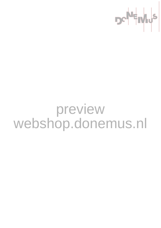

### preview webshop.donemus.nl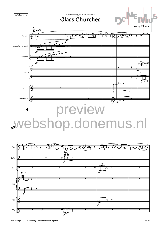SCORE IN C

**Glass Churches** *in memory ofmy father Yehuda Elkana*





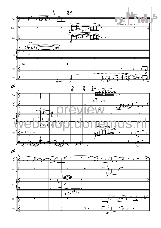



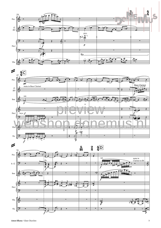

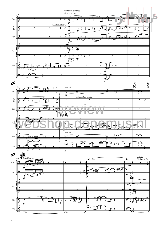